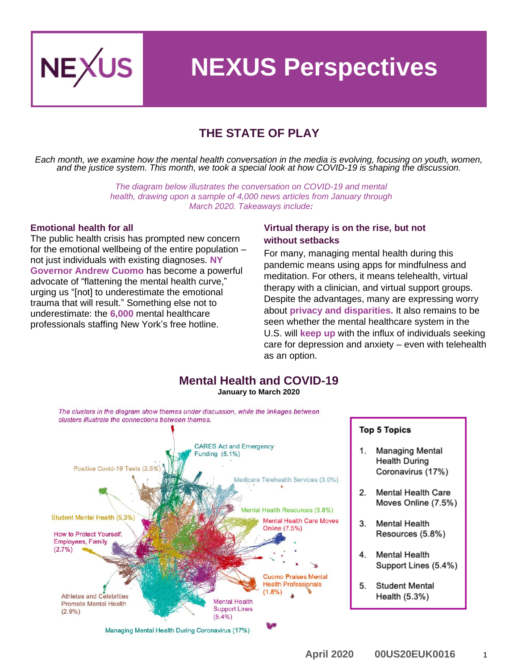

# **NEXUS Perspectives**

## **THE STATE OF PLAY**

*Each month, we examine how the mental health conversation in the media is evolving, focusing on youth, women, and the justice system. This month, we took a special look at how COVID-19 is shaping the discussion.*

> *The diagram below illustrates the conversation on COVID-19 and mental health, drawing upon a sample of 4,000 news articles from January through March 2020. Takeaways include:*

#### **Emotional health for all**

The public health crisis has prompted new concern for the emotional wellbeing of the entire population – not just individuals with existing diagnoses. **NY Governor [Andrew Cuomo](https://time.com/5807746/cuomo-new-york-coronavirus-mental-health/)** has become a powerful advocate of "flattening the mental health curve," urging us "[not] to underestimate the emotional trauma that will result." Something else not to underestimate: the **[6,000](https://www.axios.com/cuomo-coronavirus-mental-health-free-services-c41f33e3-240d-4702-b539-cc58df0eb22b.html)** mental healthcare professionals staffing New York's free hotline.

#### **Virtual therapy is on the rise, but not without setbacks**

For many, managing mental health during this pandemic means using apps for mindfulness and meditation. For others, it means telehealth, virtual therapy with a clinician, and virtual support groups. Despite the advantages, many are expressing worry about **[privacy](https://www.wsj.com/articles/zoombombing-harms-the-alcoholics-anonymous-community-11586091602) and disparities.** It also remains to be seen whether the mental healthcare system in the U.S. will **[keep up](https://www.recordonline.com/news/20200324/covid-19-raises-anxiety-challenges-local-services)** with the influx of individuals seeking care for depression and anxiety – even with telehealth as an option.

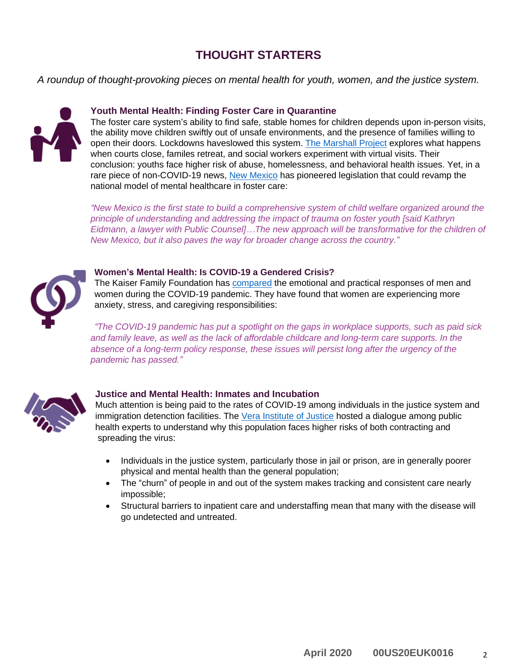## **THOUGHT STARTERS**

*A roundup of thought-provoking pieces on mental health for youth, women, and the justice system.*



#### **Youth Mental Health: Finding Foster Care in Quarantine**

The foster care system's ability to find safe, stable homes for children depends upon in-person visits, the ability move children swiftly out of unsafe environments, and the presence of families willing to open their doors. Lockdowns haveslowed this system. [The Marshall Project](https://www.themarshallproject.org/2020/03/24/coronavirus-leaves-foster-children-with-nowhere-to-go) explores what happens when courts close, familes retreat, and social workers experiment with virtual visits. Their conclusion: youths face higher risk of abuse, homelessness, and behavioral health issues. Yet, in a rare piece of non-COVID-19 news, [New Mexico](https://www.nytimes.com/2020/03/26/us/new-mexico-foster-care-lawsuit.html) has pioneered legislation that could revamp the national model of mental healthcare in foster care:

*"New Mexico is the first state to build a comprehensive system of child welfare organized around the principle of understanding and addressing the impact of trauma on foster youth [said Kathryn Eidmann, a lawyer with Public Counsel]…The new approach will be transformative for the children of New Mexico, but it also paves the way for broader change across the country."*



#### **Women's Mental Health: Is COVID-19 a Gendered Crisis?**

The Kaiser Family Foundation has [compared](https://www.kff.org/womens-health-policy/issue-brief/coronavirus-a-look-at-gender-differences-in-awareness-and-actions/) the emotional and practical responses of men and women during the COVID-19 pandemic. They have found that women are experiencing more anxiety, stress, and caregiving responsibilities:

*"The COVID-19 pandemic has put a spotlight on the gaps in workplace supports, such as paid sick and family leave, as well as the lack of affordable childcare and long-term care supports. In the absence of a long-term policy response, these issues will persist long after the urgency of the pandemic has passed."*



#### **Justice and Mental Health: Inmates and Incubation**

Much attention is being paid to the rates of COVID-19 among individuals in the justice system and immigration detenction facilities. The [Vera Institute of Justice](https://www.vera.org/research/coronavirus-guidance-for-prisons-and-jails) hosted a dialogue among public health experts to understand why this population faces higher risks of both contracting and spreading the virus:

- Individuals in the justice system, particularly those in jail or prison, are in generally poorer physical and mental health than the general population;
- The "churn" of people in and out of the system makes tracking and consistent care nearly impossible;
- Structural barriers to inpatient care and understaffing mean that many with the disease will go undetected and untreated.